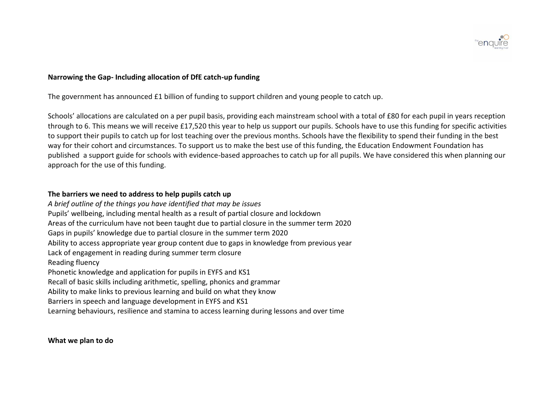

## **Narrowing the Gap- Including allocation of DfE catch-up funding**

The government has announced £1 billion of funding to support children and young people to catch up.

Schools' allocations are calculated on a per pupil basis, providing each mainstream school with a total of £80 for each pupil in years reception through to 6. This means we will receive £17,520 this year to help us support our pupils. Schools have to use this funding for specific activities to support their pupils to catch up for lost teaching over the previous months. Schools have the flexibility to spend their funding in the best way for their cohort and circumstances. To support us to make the best use of this funding, the Education Endowment Foundation has published a support guide for schools with evidence-based approaches to catch up for all pupils. We have considered this when planning our approach for the use of this funding.

## **The barriers we need to address to help pupils catch up**

*A brief outline of the things you have identified that may be issues* Pupils' wellbeing, including mental health as a result of partial closure and lockdown Areas of the curriculum have not been taught due to partial closure in the summer term 2020 Gaps in pupils' knowledge due to partial closure in the summer term 2020 Ability to access appropriate year group content due to gaps in knowledge from previous year Lack of engagement in reading during summer term closure Reading fluency Phonetic knowledge and application for pupils in EYFS and KS1 Recall of basic skills including arithmetic, spelling, phonics and grammar Ability to make links to previous learning and build on what they know Barriers in speech and language development in EYFS and KS1 Learning behaviours, resilience and stamina to access learning during lessons and over time

**What we plan to do**